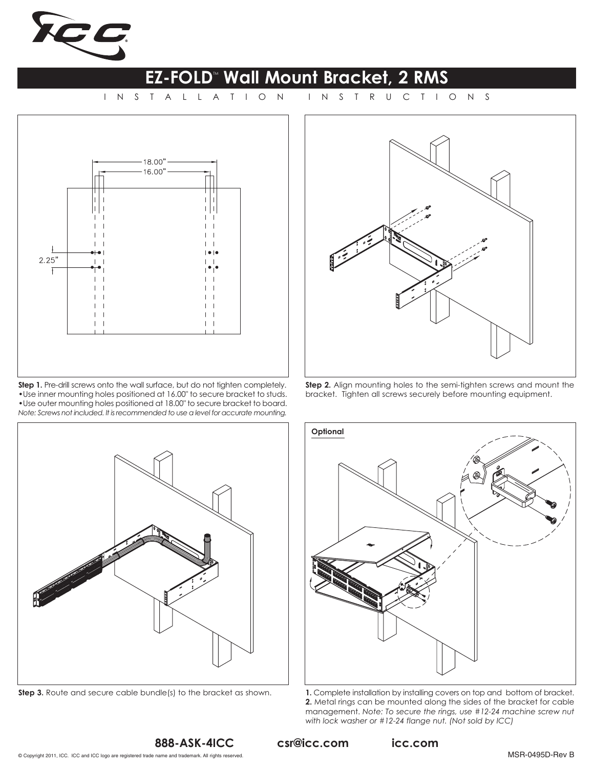

## **EZ-FOLD<sup>®</sup> Wall Mount Bracket, 2 RMS**

INSTALLATION



**Step 1.** Pre-drill screws onto the wall surface, but do not tighten completely. •Use inner mounting holes positioned at 16.00" to secure bracket to studs. •Use outer mounting holes positioned at 18.00" to secure bracket to board. *Note: Screws not included. It is recommended to use a level for accurate mounting.*



**Step 2.** Align mounting holes to the semi-tighten screws and mount the bracket. Tighten all screws securely before mounting equipment.



**Step 3.** Route and secure cable bundle(s) to the bracket as shown. **1.** Complete installation by installing covers on top and bottom of bracket.



**2.** Metal rings can be mounted along the sides of the bracket for cable management. *Note: To secure the rings, use #12-24 machine screw nut with lock washer or #12-24 flange nut. (Not sold by ICC)*

csr@icc.com